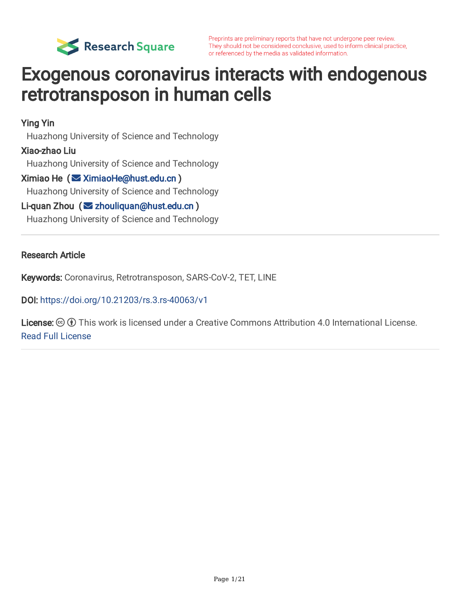

Preprints are preliminary reports that have not undergone peer review. They should not be considered conclusive, used to inform clinical practice, or referenced by the media as validated information.

# Exogenous coronavirus interacts with endogenous retrotransposon in human cells

Ying Yin

Huazhong University of Science and Technology

#### Xiao-zhao Liu

Huazhong University of Science and Technology

#### Ximiao He (**⊠ [XimiaoHe@hust.edu.cn](mailto:XimiaoHe@hust.edu.cn)**)

Huazhong University of Science and Technology

#### Li-quan Zhou  $\sigma$ [zhouliquan@hust.edu.cn](mailto:zhouliquan@hust.edu.cn))

Huazhong University of Science and Technology

#### Research Article

Keywords: Coronavirus, Retrotransposon, SARS-CoV-2, TET, LINE

#### DOI: <https://doi.org/10.21203/rs.3.rs-40063/v1>

License:  $\odot$  (i) This work is licensed under a Creative Commons Attribution 4.0 International License. Read Full [License](https://creativecommons.org/licenses/by/4.0/)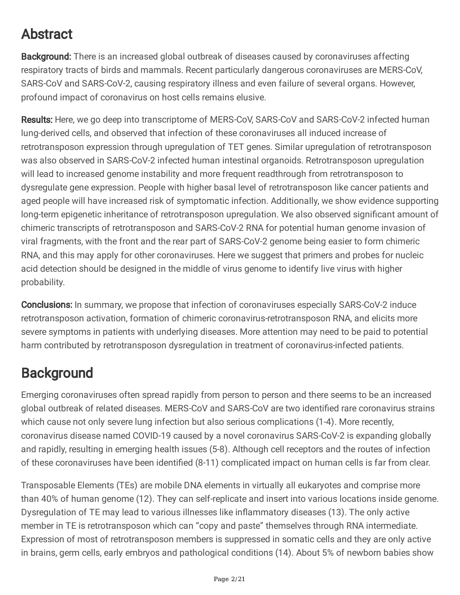# Abstract

Background: There is an increased global outbreak of diseases caused by coronaviruses affecting respiratory tracts of birds and mammals. Recent particularly dangerous coronaviruses are MERS-CoV, SARS-CoV and SARS-CoV-2, causing respiratory illness and even failure of several organs. However, profound impact of coronavirus on host cells remains elusive.

Results: Here, we go deep into transcriptome of MERS-CoV, SARS-CoV and SARS-CoV-2 infected human lung-derived cells, and observed that infection of these coronaviruses all induced increase of retrotransposon expression through upregulation of TET genes. Similar upregulation of retrotransposon was also observed in SARS-CoV-2 infected human intestinal organoids. Retrotransposon upregulation will lead to increased genome instability and more frequent readthrough from retrotransposon to dysregulate gene expression. People with higher basal level of retrotransposon like cancer patients and aged people will have increased risk of symptomatic infection. Additionally, we show evidence supporting long-term epigenetic inheritance of retrotransposon upregulation. We also observed significant amount of chimeric transcripts of retrotransposon and SARS-CoV-2 RNA for potential human genome invasion of viral fragments, with the front and the rear part of SARS-CoV-2 genome being easier to form chimeric RNA, and this may apply for other coronaviruses. Here we suggest that primers and probes for nucleic acid detection should be designed in the middle of virus genome to identify live virus with higher probability.

**Conclusions:** In summary, we propose that infection of coronaviruses especially SARS-CoV-2 induce retrotransposon activation, formation of chimeric coronavirus-retrotransposon RNA, and elicits more severe symptoms in patients with underlying diseases. More attention may need to be paid to potential harm contributed by retrotransposon dysregulation in treatment of coronavirus-infected patients.

# **Background**

Emerging coronaviruses often spread rapidly from person to person and there seems to be an increased global outbreak of related diseases. MERS-CoV and SARS-CoV are two identified rare coronavirus strains which cause not only severe lung infection but also serious complications (1-4). More recently, coronavirus disease named COVID-19 caused by a novel coronavirus SARS-CoV-2 is expanding globally and rapidly, resulting in emerging health issues (5-8). Although cell receptors and the routes of infection of these coronaviruses have been identified (8-11) complicated impact on human cells is far from clear.

Transposable Elements (TEs) are mobile DNA elements in virtually all eukaryotes and comprise more than 40% of human genome (12). They can self-replicate and insert into various locations inside genome. Dysregulation of TE may lead to various illnesses like inflammatory diseases (13). The only active member in TE is retrotransposon which can "copy and paste" themselves through RNA intermediate. Expression of most of retrotransposon members is suppressed in somatic cells and they are only active in brains, germ cells, early embryos and pathological conditions (14). About 5% of newborn babies show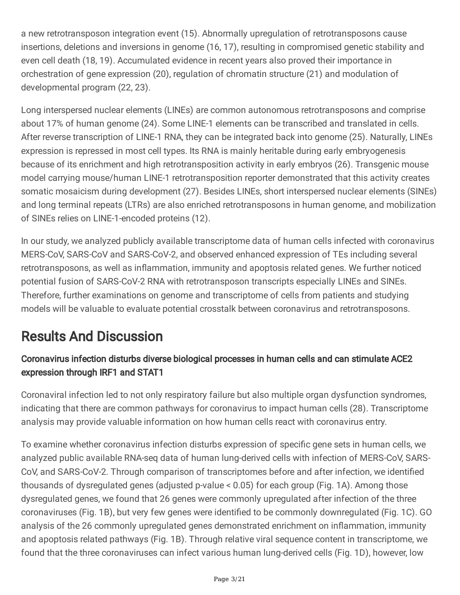a new retrotransposon integration event (15). Abnormally upregulation of retrotransposons cause insertions, deletions and inversions in genome (16, 17), resulting in compromised genetic stability and even cell death (18, 19). Accumulated evidence in recent years also proved their importance in orchestration of gene expression (20), regulation of chromatin structure (21) and modulation of developmental program (22, 23).

Long interspersed nuclear elements (LINEs) are common autonomous retrotransposons and comprise about 17% of human genome (24). Some LINE-1 elements can be transcribed and translated in cells. After reverse transcription of LINE-1 RNA, they can be integrated back into genome (25). Naturally, LINEs expression is repressed in most cell types. Its RNA is mainly heritable during early embryogenesis because of its enrichment and high retrotransposition activity in early embryos (26). Transgenic mouse model carrying mouse/human LINE-1 retrotransposition reporter demonstrated that this activity creates somatic mosaicism during development (27). Besides LINEs, short interspersed nuclear elements (SINEs) and long terminal repeats (LTRs) are also enriched retrotransposons in human genome, and mobilization of SINEs relies on LINE-1-encoded proteins (12).

In our study, we analyzed publicly available transcriptome data of human cells infected with coronavirus MERS-CoV, SARS-CoV and SARS-CoV-2, and observed enhanced expression of TEs including several retrotransposons, as well as inflammation, immunity and apoptosis related genes. We further noticed potential fusion of SARS-CoV-2 RNA with retrotransposon transcripts especially LINEs and SINEs. Therefore, further examinations on genome and transcriptome of cells from patients and studying models will be valuable to evaluate potential crosstalk between coronavirus and retrotransposons.

## Results And Discussion

## Coronavirus infection disturbs diverse biological processes in human cells and can stimulate ACE2 expression through IRF1 and STAT1

Coronaviral infection led to not only respiratory failure but also multiple organ dysfunction syndromes, indicating that there are common pathways for coronavirus to impact human cells (28). Transcriptome analysis may provide valuable information on how human cells react with coronavirus entry.

To examine whether coronavirus infection disturbs expression of specific gene sets in human cells, we analyzed public available RNA-seq data of human lung-derived cells with infection of MERS-CoV, SARS-CoV, and SARS-CoV-2. Through comparison of transcriptomes before and after infection, we identified thousands of dysregulated genes (adjusted p-value < 0.05) for each group (Fig. 1A). Among those dysregulated genes, we found that 26 genes were commonly upregulated after infection of the three coronaviruses (Fig. 1B), but very few genes were identified to be commonly downregulated (Fig. 1C). GO analysis of the 26 commonly upregulated genes demonstrated enrichment on inflammation, immunity and apoptosis related pathways (Fig. 1B). Through relative viral sequence content in transcriptome, we found that the three coronaviruses can infect various human lung-derived cells (Fig. 1D), however, low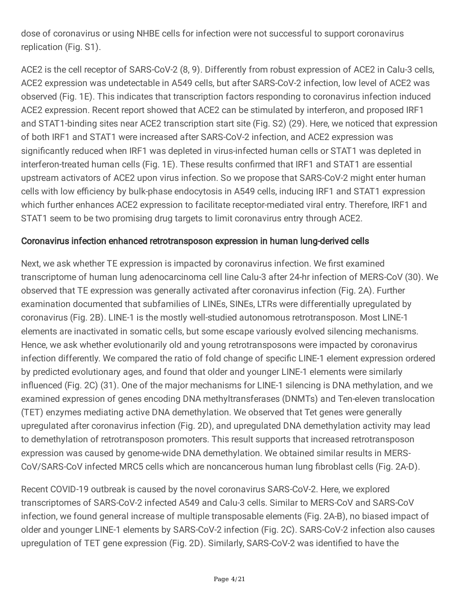dose of coronavirus or using NHBE cells for infection were not successful to support coronavirus replication (Fig. S1).

ACE2 is the cell receptor of SARS-CoV-2 (8, 9). Differently from robust expression of ACE2 in Calu-3 cells, ACE2 expression was undetectable in A549 cells, but after SARS-CoV-2 infection, low level of ACE2 was observed (Fig. 1E). This indicates that transcription factors responding to coronavirus infection induced ACE2 expression. Recent report showed that ACE2 can be stimulated by interferon, and proposed IRF1 and STAT1-binding sites near ACE2 transcription start site (Fig. S2) (29). Here, we noticed that expression of both IRF1 and STAT1 were increased after SARS-CoV-2 infection, and ACE2 expression was significantly reduced when IRF1 was depleted in virus-infected human cells or STAT1 was depleted in interferon-treated human cells (Fig. 1E). These results confirmed that IRF1 and STAT1 are essential upstream activators of ACE2 upon virus infection. So we propose that SARS-CoV-2 might enter human cells with low efficiency by bulk-phase endocytosis in A549 cells, inducing IRF1 and STAT1 expression which further enhances ACE2 expression to facilitate receptor-mediated viral entry. Therefore, IRF1 and STAT1 seem to be two promising drug targets to limit coronavirus entry through ACE2.

### Coronavirus infection enhanced retrotransposon expression in human lung-derived cells

Next, we ask whether TE expression is impacted by coronavirus infection. We first examined transcriptome of human lung adenocarcinoma cell line Calu-3 after 24-hr infection of MERS-CoV (30). We observed that TE expression was generally activated after coronavirus infection (Fig. 2A). Further examination documented that subfamilies of LINEs, SINEs, LTRs were differentially upregulated by coronavirus (Fig. 2B). LINE-1 is the mostly well-studied autonomous retrotransposon. Most LINE-1 elements are inactivated in somatic cells, but some escape variously evolved silencing mechanisms. Hence, we ask whether evolutionarily old and young retrotransposons were impacted by coronavirus infection differently. We compared the ratio of fold change of specific LINE-1 element expression ordered by predicted evolutionary ages, and found that older and younger LINE-1 elements were similarly influenced (Fig. 2C) (31). One of the major mechanisms for LINE-1 silencing is DNA methylation, and we examined expression of genes encoding DNA methyltransferases (DNMTs) and Ten-eleven translocation (TET) enzymes mediating active DNA demethylation. We observed that Tet genes were generally upregulated after coronavirus infection (Fig. 2D), and upregulated DNA demethylation activity may lead to demethylation of retrotransposon promoters. This result supports that increased retrotransposon expression was caused by genome-wide DNA demethylation. We obtained similar results in MERS-CoV/SARS-CoV infected MRC5 cells which are noncancerous human lung fibroblast cells (Fig. 2A-D).

Recent COVID-19 outbreak is caused by the novel coronavirus SARS-CoV-2. Here, we explored transcriptomes of SARS-CoV-2 infected A549 and Calu-3 cells. Similar to MERS-CoV and SARS-CoV infection, we found general increase of multiple transposable elements (Fig. 2A-B), no biased impact of older and younger LINE-1 elements by SARS-CoV-2 infection (Fig. 2C). SARS-CoV-2 infection also causes upregulation of TET gene expression (Fig. 2D). Similarly, SARS-CoV-2 was identified to have the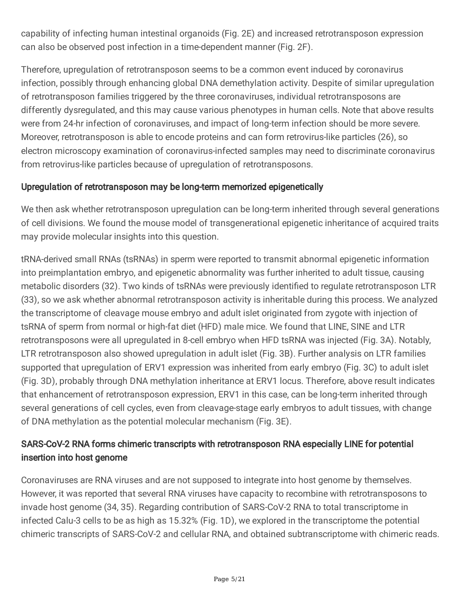capability of infecting human intestinal organoids (Fig. 2E) and increased retrotransposon expression can also be observed post infection in a time-dependent manner (Fig. 2F).

Therefore, upregulation of retrotransposon seems to be a common event induced by coronavirus infection, possibly through enhancing global DNA demethylation activity. Despite of similar upregulation of retrotransposon families triggered by the three coronaviruses, individual retrotransposons are differently dysregulated, and this may cause various phenotypes in human cells. Note that above results were from 24-hr infection of coronaviruses, and impact of long-term infection should be more severe. Moreover, retrotransposon is able to encode proteins and can form retrovirus-like particles (26), so electron microscopy examination of coronavirus-infected samples may need to discriminate coronavirus from retrovirus-like particles because of upregulation of retrotransposons.

### Upregulation of retrotransposon may be long-term memorized epigenetically

We then ask whether retrotransposon upregulation can be long-term inherited through several generations of cell divisions. We found the mouse model of transgenerational epigenetic inheritance of acquired traits may provide molecular insights into this question.

tRNA-derived small RNAs (tsRNAs) in sperm were reported to transmit abnormal epigenetic information into preimplantation embryo, and epigenetic abnormality was further inherited to adult tissue, causing metabolic disorders (32). Two kinds of tsRNAs were previously identified to regulate retrotransposon LTR (33), so we ask whether abnormal retrotransposon activity is inheritable during this process. We analyzed the transcriptome of cleavage mouse embryo and adult islet originated from zygote with injection of tsRNA of sperm from normal or high-fat diet (HFD) male mice. We found that LINE, SINE and LTR retrotransposons were all upregulated in 8-cell embryo when HFD tsRNA was injected (Fig. 3A). Notably, LTR retrotransposon also showed upregulation in adult islet (Fig. 3B). Further analysis on LTR families supported that upregulation of ERV1 expression was inherited from early embryo (Fig. 3C) to adult islet (Fig. 3D), probably through DNA methylation inheritance at ERV1 locus. Therefore, above result indicates that enhancement of retrotransposon expression, ERV1 in this case, can be long-term inherited through several generations of cell cycles, even from cleavage-stage early embryos to adult tissues, with change of DNA methylation as the potential molecular mechanism (Fig. 3E).

### SARS-CoV-2 RNA forms chimeric transcripts with retrotransposon RNA especially LINE for potential insertion into host genome

Coronaviruses are RNA viruses and are not supposed to integrate into host genome by themselves. However, it was reported that several RNA viruses have capacity to recombine with retrotransposons to invade host genome (34, 35). Regarding contribution of SARS-CoV-2 RNA to total transcriptome in infected Calu-3 cells to be as high as 15.32% (Fig. 1D), we explored in the transcriptome the potential chimeric transcripts of SARS-CoV-2 and cellular RNA, and obtained subtranscriptome with chimeric reads.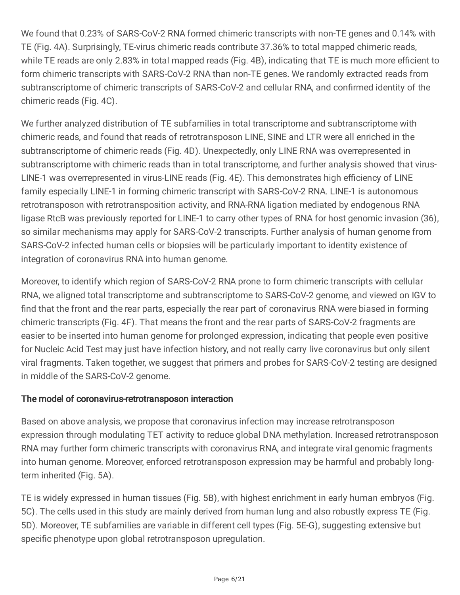We found that 0.23% of SARS-CoV-2 RNA formed chimeric transcripts with non-TE genes and 0.14% with TE (Fig. 4A). Surprisingly, TE-virus chimeric reads contribute 37.36% to total mapped chimeric reads, while TE reads are only 2.83% in total mapped reads (Fig. 4B), indicating that TE is much more efficient to form chimeric transcripts with SARS-CoV-2 RNA than non-TE genes. We randomly extracted reads from subtranscriptome of chimeric transcripts of SARS-CoV-2 and cellular RNA, and confirmed identity of the chimeric reads (Fig. 4C).

We further analyzed distribution of TE subfamilies in total transcriptome and subtranscriptome with chimeric reads, and found that reads of retrotransposon LINE, SINE and LTR were all enriched in the subtranscriptome of chimeric reads (Fig. 4D). Unexpectedly, only LINE RNA was overrepresented in subtranscriptome with chimeric reads than in total transcriptome, and further analysis showed that virus-LINE-1 was overrepresented in virus-LINE reads (Fig. 4E). This demonstrates high efficiency of LINE family especially LINE-1 in forming chimeric transcript with SARS-CoV-2 RNA. LINE-1 is autonomous retrotransposon with retrotransposition activity, and RNA-RNA ligation mediated by endogenous RNA ligase RtcB was previously reported for LINE-1 to carry other types of RNA for host genomic invasion (36), so similar mechanisms may apply for SARS-CoV-2 transcripts. Further analysis of human genome from SARS-CoV-2 infected human cells or biopsies will be particularly important to identity existence of integration of coronavirus RNA into human genome.

Moreover, to identify which region of SARS-CoV-2 RNA prone to form chimeric transcripts with cellular RNA, we aligned total transcriptome and subtranscriptome to SARS-CoV-2 genome, and viewed on IGV to find that the front and the rear parts, especially the rear part of coronavirus RNA were biased in forming chimeric transcripts (Fig. 4F). That means the front and the rear parts of SARS-CoV-2 fragments are easier to be inserted into human genome for prolonged expression, indicating that people even positive for Nucleic Acid Test may just have infection history, and not really carry live coronavirus but only silent viral fragments. Taken together, we suggest that primers and probes for SARS-CoV-2 testing are designed in middle of the SARS-CoV-2 genome.

### The model of coronavirus-retrotransposon interaction

Based on above analysis, we propose that coronavirus infection may increase retrotransposon expression through modulating TET activity to reduce global DNA methylation. Increased retrotransposon RNA may further form chimeric transcripts with coronavirus RNA, and integrate viral genomic fragments into human genome. Moreover, enforced retrotransposon expression may be harmful and probably longterm inherited (Fig. 5A).

TE is widely expressed in human tissues (Fig. 5B), with highest enrichment in early human embryos (Fig. 5C). The cells used in this study are mainly derived from human lung and also robustly express TE (Fig. 5D). Moreover, TE subfamilies are variable in different cell types (Fig. 5E-G), suggesting extensive but specific phenotype upon global retrotransposon upregulation.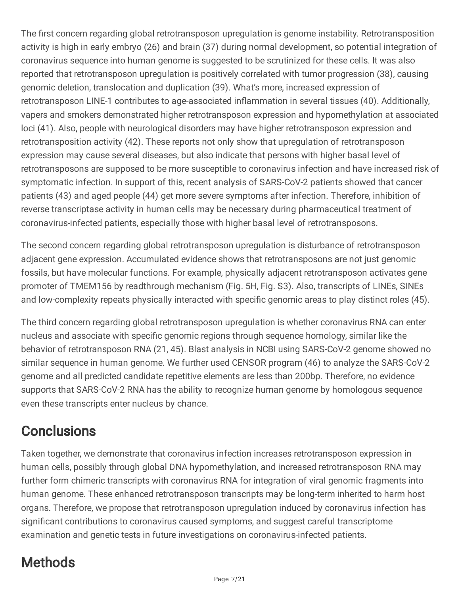The first concern regarding global retrotransposon upregulation is genome instability. Retrotransposition activity is high in early embryo (26) and brain (37) during normal development, so potential integration of coronavirus sequence into human genome is suggested to be scrutinized for these cells. It was also reported that retrotransposon upregulation is positively correlated with tumor progression (38), causing genomic deletion, translocation and duplication (39). What's more, increased expression of retrotransposon LINE-1 contributes to age-associated inflammation in several tissues (40). Additionally, vapers and smokers demonstrated higher retrotransposon expression and hypomethylation at associated loci (41). Also, people with neurological disorders may have higher retrotransposon expression and retrotransposition activity (42). These reports not only show that upregulation of retrotransposon expression may cause several diseases, but also indicate that persons with higher basal level of retrotransposons are supposed to be more susceptible to coronavirus infection and have increased risk of symptomatic infection. In support of this, recent analysis of SARS-CoV-2 patients showed that cancer patients (43) and aged people (44) get more severe symptoms after infection. Therefore, inhibition of reverse transcriptase activity in human cells may be necessary during pharmaceutical treatment of coronavirus-infected patients, especially those with higher basal level of retrotransposons.

The second concern regarding global retrotransposon upregulation is disturbance of retrotransposon adjacent gene expression. Accumulated evidence shows that retrotransposons are not just genomic fossils, but have molecular functions. For example, physically adjacent retrotransposon activates gene promoter of TMEM156 by readthrough mechanism (Fig. 5H, Fig. S3). Also, transcripts of LINEs, SINEs and low-complexity repeats physically interacted with specific genomic areas to play distinct roles (45).

The third concern regarding global retrotransposon upregulation is whether coronavirus RNA can enter nucleus and associate with specific genomic regions through sequence homology, similar like the behavior of retrotransposon RNA (21, 45). Blast analysis in NCBI using SARS-CoV-2 genome showed no similar sequence in human genome. We further used CENSOR program (46) to analyze the SARS-CoV-2 genome and all predicted candidate repetitive elements are less than 200bp. Therefore, no evidence supports that SARS-CoV-2 RNA has the ability to recognize human genome by homologous sequence even these transcripts enter nucleus by chance.

# **Conclusions**

Taken together, we demonstrate that coronavirus infection increases retrotransposon expression in human cells, possibly through global DNA hypomethylation, and increased retrotransposon RNA may further form chimeric transcripts with coronavirus RNA for integration of viral genomic fragments into human genome. These enhanced retrotransposon transcripts may be long-term inherited to harm host organs. Therefore, we propose that retrotransposon upregulation induced by coronavirus infection has significant contributions to coronavirus caused symptoms, and suggest careful transcriptome examination and genetic tests in future investigations on coronavirus-infected patients.

# **Methods**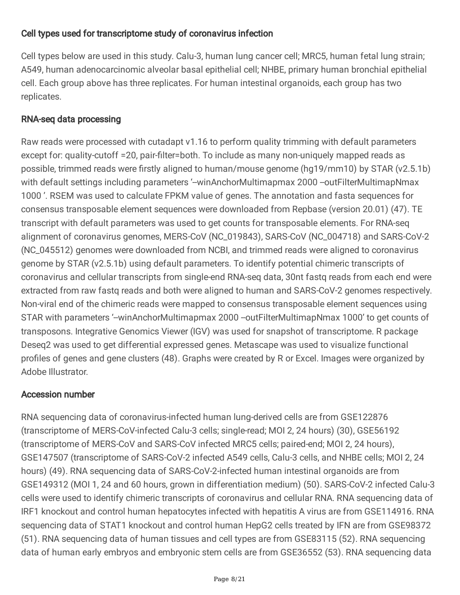### Cell types used for transcriptome study of coronavirus infection

Cell types below are used in this study. Calu-3, human lung cancer cell; MRC5, human fetal lung strain; A549, human adenocarcinomic alveolar basal epithelial cell; NHBE, primary human bronchial epithelial cell. Each group above has three replicates. For human intestinal organoids, each group has two replicates.

### RNA-seq data processing

Raw reads were processed with cutadapt v1.16 to perform quality trimming with default parameters except for: quality-cutoff =20, pair-filter=both. To include as many non-uniquely mapped reads as possible, trimmed reads were firstly aligned to human/mouse genome (hg19/mm10) by STAR (v2.5.1b) with default settings including parameters '--winAnchorMultimapmax 2000 --outFilterMultimapNmax 1000 '. RSEM was used to calculate FPKM value of genes. The annotation and fasta sequences for consensus transposable element sequences were downloaded from Repbase (version 20.01) (47). TE transcript with default parameters was used to get counts for transposable elements. For RNA-seq alignment of coronavirus genomes, MERS-CoV (NC\_019843), SARS-CoV (NC\_004718) and SARS-CoV-2 (NC\_045512) genomes were downloaded from NCBI, and trimmed reads were aligned to coronavirus genome by STAR (v2.5.1b) using default parameters. To identify potential chimeric transcripts of coronavirus and cellular transcripts from single-end RNA-seq data, 30nt fastq reads from each end were extracted from raw fastq reads and both were aligned to human and SARS-CoV-2 genomes respectively. Non-viral end of the chimeric reads were mapped to consensus transposable element sequences using STAR with parameters '--winAnchorMultimapmax 2000 --outFilterMultimapNmax 1000' to get counts of transposons. Integrative Genomics Viewer (IGV) was used for snapshot of transcriptome. R package Deseq2 was used to get differential expressed genes. Metascape was used to visualize functional profiles of genes and gene clusters (48). Graphs were created by R or Excel. Images were organized by Adobe Illustrator.

### Accession number

RNA sequencing data of coronavirus-infected human lung-derived cells are from GSE122876 (transcriptome of MERS-CoV-infected Calu-3 cells; single-read; MOI 2, 24 hours) (30), GSE56192 (transcriptome of MERS-CoV and SARS-CoV infected MRC5 cells; paired-end; MOI 2, 24 hours), GSE147507 (transcriptome of SARS-CoV-2 infected A549 cells, Calu-3 cells, and NHBE cells; MOI 2, 24 hours) (49). RNA sequencing data of SARS-CoV-2-infected human intestinal organoids are from GSE149312 (MOI 1, 24 and 60 hours, grown in differentiation medium) (50). SARS-CoV-2 infected Calu-3 cells were used to identify chimeric transcripts of coronavirus and cellular RNA. RNA sequencing data of IRF1 knockout and control human hepatocytes infected with hepatitis A virus are from GSE114916. RNA sequencing data of STAT1 knockout and control human HepG2 cells treated by IFN are from GSE98372 (51). RNA sequencing data of human tissues and cell types are from GSE83115 (52). RNA sequencing data of human early embryos and embryonic stem cells are from GSE36552 (53). RNA sequencing data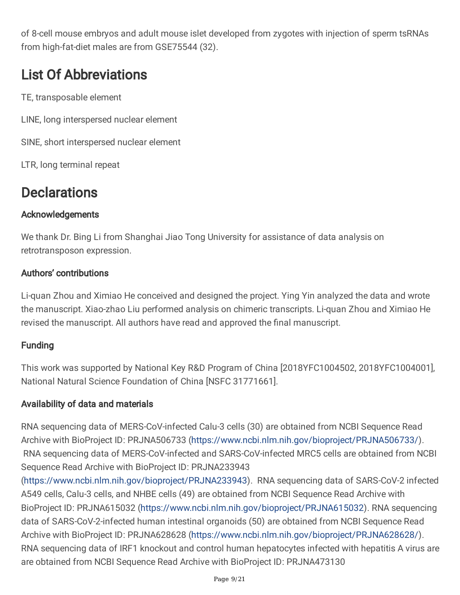of 8-cell mouse embryos and adult mouse islet developed from zygotes with injection of sperm tsRNAs from high-fat-diet males are from GSE75544 (32).

# List Of Abbreviations

TE, transposable element

- LINE, long interspersed nuclear element
- SINE, short interspersed nuclear element

LTR, long terminal repeat

## **Declarations**

## Acknowledgements

We thank Dr. Bing Li from Shanghai Jiao Tong University for assistance of data analysis on retrotransposon expression.

### Authors' contributions

Li-quan Zhou and Ximiao He conceived and designed the project. Ying Yin analyzed the data and wrote the manuscript. Xiao-zhao Liu performed analysis on chimeric transcripts. Li-quan Zhou and Ximiao He revised the manuscript. All authors have read and approved the final manuscript.

## Funding

This work was supported by National Key R&D Program of China [2018YFC1004502, 2018YFC1004001], National Natural Science Foundation of China [NSFC 31771661].

## Availability of data and materials

RNA sequencing data of MERS-CoV-infected Calu-3 cells (30) are obtained from NCBI Sequence Read Archive with BioProject ID: PRJNA506733 [\(https://www.ncbi.nlm.nih.gov/bioproject/PRJNA506733/](https://www.ncbi.nlm.nih.gov/bioproject/PRJNA506733/)). RNA sequencing data of MERS-CoV-infected and SARS-CoV-infected MRC5 cells are obtained from NCBI Sequence Read Archive with BioProject ID: PRJNA233943

[\(https://www.ncbi.nlm.nih.gov/bioproject/PRJNA233943](https://www.ncbi.nlm.nih.gov/bioproject/PRJNA233943)). RNA sequencing data of SARS-CoV-2 infected A549 cells, Calu-3 cells, and NHBE cells (49) are obtained from NCBI Sequence Read Archive with BioProject ID: PRJNA615032 [\(https://www.ncbi.nlm.nih.gov/bioproject/PRJNA615032](https://www.ncbi.nlm.nih.gov/bioproject/PRJNA615032)). RNA sequencing data of SARS-CoV-2-infected human intestinal organoids (50) are obtained from NCBI Sequence Read Archive with BioProject ID: PRJNA628628 [\(https://www.ncbi.nlm.nih.gov/bioproject/PRJNA628628/](https://www.ncbi.nlm.nih.gov/bioproject/PRJNA628628/)). RNA sequencing data of IRF1 knockout and control human hepatocytes infected with hepatitis A virus are are obtained from NCBI Sequence Read Archive with BioProject ID: PRJNA473130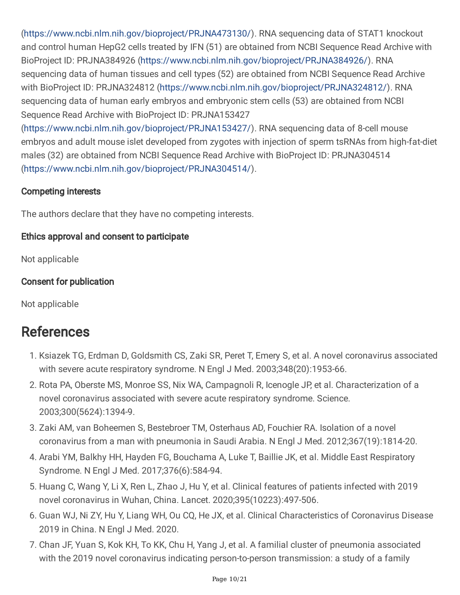[\(https://www.ncbi.nlm.nih.gov/bioproject/PRJNA473130/](https://www.ncbi.nlm.nih.gov/bioproject/PRJNA473130/)). RNA sequencing data of STAT1 knockout and control human HepG2 cells treated by IFN (51) are obtained from NCBI Sequence Read Archive with BioProject ID: PRJNA384926 [\(https://www.ncbi.nlm.nih.gov/bioproject/PRJNA384926/\)](https://www.ncbi.nlm.nih.gov/bioproject/PRJNA384926/). RNA sequencing data of human tissues and cell types (52) are obtained from NCBI Sequence Read Archive with BioProject ID: PRJNA324812 [\(https://www.ncbi.nlm.nih.gov/bioproject/PRJNA324812/](https://www.ncbi.nlm.nih.gov/bioproject/PRJNA324812/)). RNA sequencing data of human early embryos and embryonic stem cells (53) are obtained from NCBI Sequence Read Archive with BioProject ID: PRJNA153427

[\(https://www.ncbi.nlm.nih.gov/bioproject/PRJNA153427/](https://www.ncbi.nlm.nih.gov/bioproject/PRJNA153427/)). RNA sequencing data of 8-cell mouse embryos and adult mouse islet developed from zygotes with injection of sperm tsRNAs from high-fat-diet males (32) are obtained from NCBI Sequence Read Archive with BioProject ID: PRJNA304514 [\(https://www.ncbi.nlm.nih.gov/bioproject/PRJNA304514/](https://www.ncbi.nlm.nih.gov/bioproject/PRJNA304514/)).

### Competing interests

The authors declare that they have no competing interests.

### Ethics approval and consent to participate

Not applicable

### Consent for publication

Not applicable

## References

- 1. Ksiazek TG, Erdman D, Goldsmith CS, Zaki SR, Peret T, Emery S, et al. A novel coronavirus associated with severe acute respiratory syndrome. N Engl J Med. 2003;348(20):1953-66.
- 2. Rota PA, Oberste MS, Monroe SS, Nix WA, Campagnoli R, Icenogle JP, et al. Characterization of a novel coronavirus associated with severe acute respiratory syndrome. Science. 2003;300(5624):1394-9.
- 3. Zaki AM, van Boheemen S, Bestebroer TM, Osterhaus AD, Fouchier RA. Isolation of a novel coronavirus from a man with pneumonia in Saudi Arabia. N Engl J Med. 2012;367(19):1814-20.
- 4. Arabi YM, Balkhy HH, Hayden FG, Bouchama A, Luke T, Baillie JK, et al. Middle East Respiratory Syndrome. N Engl J Med. 2017;376(6):584-94.
- 5. Huang C, Wang Y, Li X, Ren L, Zhao J, Hu Y, et al. Clinical features of patients infected with 2019 novel coronavirus in Wuhan, China. Lancet. 2020;395(10223):497-506.
- 6. Guan WJ, Ni ZY, Hu Y, Liang WH, Ou CQ, He JX, et al. Clinical Characteristics of Coronavirus Disease 2019 in China. N Engl J Med. 2020.
- 7. Chan JF, Yuan S, Kok KH, To KK, Chu H, Yang J, et al. A familial cluster of pneumonia associated with the 2019 novel coronavirus indicating person-to-person transmission: a study of a family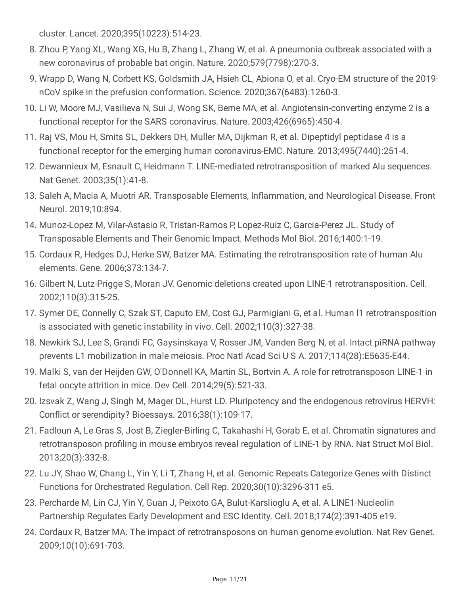cluster. Lancet. 2020;395(10223):514-23.

- 8. Zhou P, Yang XL, Wang XG, Hu B, Zhang L, Zhang W, et al. A pneumonia outbreak associated with a new coronavirus of probable bat origin. Nature. 2020;579(7798):270-3.
- 9. Wrapp D, Wang N, Corbett KS, Goldsmith JA, Hsieh CL, Abiona O, et al. Cryo-EM structure of the 2019 nCoV spike in the prefusion conformation. Science. 2020;367(6483):1260-3.
- 10. Li W, Moore MJ, Vasilieva N, Sui J, Wong SK, Berne MA, et al. Angiotensin-converting enzyme 2 is a functional receptor for the SARS coronavirus. Nature. 2003;426(6965):450-4.
- 11. Raj VS, Mou H, Smits SL, Dekkers DH, Muller MA, Dijkman R, et al. Dipeptidyl peptidase 4 is a functional receptor for the emerging human coronavirus-EMC. Nature. 2013;495(7440):251-4.
- 12. Dewannieux M, Esnault C, Heidmann T. LINE-mediated retrotransposition of marked Alu sequences. Nat Genet. 2003;35(1):41-8.
- 13. Saleh A, Macia A, Muotri AR. Transposable Elements, Inflammation, and Neurological Disease. Front Neurol. 2019;10:894.
- 14. Munoz-Lopez M, Vilar-Astasio R, Tristan-Ramos P, Lopez-Ruiz C, Garcia-Perez JL. Study of Transposable Elements and Their Genomic Impact. Methods Mol Biol. 2016;1400:1-19.
- 15. Cordaux R, Hedges DJ, Herke SW, Batzer MA. Estimating the retrotransposition rate of human Alu elements. Gene. 2006;373:134-7.
- 16. Gilbert N, Lutz-Prigge S, Moran JV. Genomic deletions created upon LINE-1 retrotransposition. Cell. 2002;110(3):315-25.
- 17. Symer DE, Connelly C, Szak ST, Caputo EM, Cost GJ, Parmigiani G, et al. Human l1 retrotransposition is associated with genetic instability in vivo. Cell. 2002;110(3):327-38.
- 18. Newkirk SJ, Lee S, Grandi FC, Gaysinskaya V, Rosser JM, Vanden Berg N, et al. Intact piRNA pathway prevents L1 mobilization in male meiosis. Proc Natl Acad Sci U S A. 2017;114(28):E5635-E44.
- 19. Malki S, van der Heijden GW, O'Donnell KA, Martin SL, Bortvin A. A role for retrotransposon LINE-1 in fetal oocyte attrition in mice. Dev Cell. 2014;29(5):521-33.
- 20. Izsvak Z, Wang J, Singh M, Mager DL, Hurst LD. Pluripotency and the endogenous retrovirus HERVH: Conflict or serendipity? Bioessays. 2016;38(1):109-17.
- 21. Fadloun A, Le Gras S, Jost B, Ziegler-Birling C, Takahashi H, Gorab E, et al. Chromatin signatures and retrotransposon profiling in mouse embryos reveal regulation of LINE-1 by RNA. Nat Struct Mol Biol. 2013;20(3):332-8.
- 22. Lu JY, Shao W, Chang L, Yin Y, Li T, Zhang H, et al. Genomic Repeats Categorize Genes with Distinct Functions for Orchestrated Regulation. Cell Rep. 2020;30(10):3296-311 e5.
- 23. Percharde M, Lin CJ, Yin Y, Guan J, Peixoto GA, Bulut-Karslioglu A, et al. A LINE1-Nucleolin Partnership Regulates Early Development and ESC Identity. Cell. 2018;174(2):391-405 e19.
- 24. Cordaux R, Batzer MA. The impact of retrotransposons on human genome evolution. Nat Rev Genet. 2009;10(10):691-703.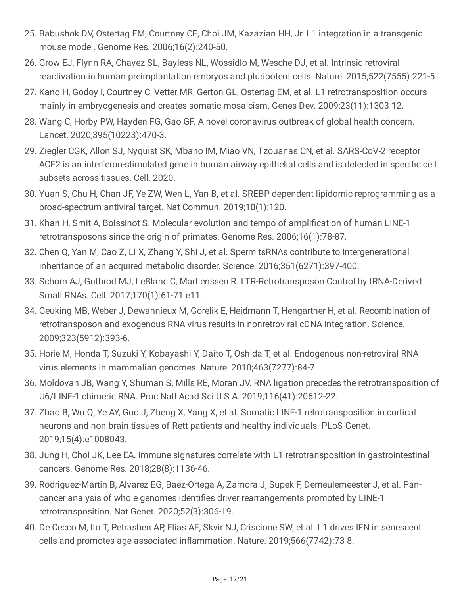- 25. Babushok DV, Ostertag EM, Courtney CE, Choi JM, Kazazian HH, Jr. L1 integration in a transgenic mouse model. Genome Res. 2006;16(2):240-50.
- 26. Grow EJ, Flynn RA, Chavez SL, Bayless NL, Wossidlo M, Wesche DJ, et al. Intrinsic retroviral reactivation in human preimplantation embryos and pluripotent cells. Nature. 2015;522(7555):221-5.
- 27. Kano H, Godoy I, Courtney C, Vetter MR, Gerton GL, Ostertag EM, et al. L1 retrotransposition occurs mainly in embryogenesis and creates somatic mosaicism. Genes Dev. 2009;23(11):1303-12.
- 28. Wang C, Horby PW, Hayden FG, Gao GF. A novel coronavirus outbreak of global health concern. Lancet. 2020;395(10223):470-3.
- 29. Ziegler CGK, Allon SJ, Nyquist SK, Mbano IM, Miao VN, Tzouanas CN, et al. SARS-CoV-2 receptor ACE2 is an interferon-stimulated gene in human airway epithelial cells and is detected in specific cell subsets across tissues. Cell. 2020.
- 30. Yuan S, Chu H, Chan JF, Ye ZW, Wen L, Yan B, et al. SREBP-dependent lipidomic reprogramming as a broad-spectrum antiviral target. Nat Commun. 2019;10(1):120.
- 31. Khan H, Smit A, Boissinot S. Molecular evolution and tempo of amplication of human LINE-1 retrotransposons since the origin of primates. Genome Res. 2006;16(1):78-87.
- 32. Chen Q, Yan M, Cao Z, Li X, Zhang Y, Shi J, et al. Sperm tsRNAs contribute to intergenerational inheritance of an acquired metabolic disorder. Science. 2016;351(6271):397-400.
- 33. Schorn AJ, Gutbrod MJ, LeBlanc C, Martienssen R. LTR-Retrotransposon Control by tRNA-Derived Small RNAs. Cell. 2017;170(1):61-71 e11.
- 34. Geuking MB, Weber J, Dewannieux M, Gorelik E, Heidmann T, Hengartner H, et al. Recombination of retrotransposon and exogenous RNA virus results in nonretroviral cDNA integration. Science. 2009;323(5912):393-6.
- 35. Horie M, Honda T, Suzuki Y, Kobayashi Y, Daito T, Oshida T, et al. Endogenous non-retroviral RNA virus elements in mammalian genomes. Nature. 2010;463(7277):84-7.
- 36. Moldovan JB, Wang Y, Shuman S, Mills RE, Moran JV. RNA ligation precedes the retrotransposition of U6/LINE-1 chimeric RNA. Proc Natl Acad Sci U S A. 2019;116(41):20612-22.
- 37. Zhao B, Wu Q, Ye AY, Guo J, Zheng X, Yang X, et al. Somatic LINE-1 retrotransposition in cortical neurons and non-brain tissues of Rett patients and healthy individuals. PLoS Genet. 2019;15(4):e1008043.
- 38. Jung H, Choi JK, Lee EA. Immune signatures correlate with L1 retrotransposition in gastrointestinal cancers. Genome Res. 2018;28(8):1136-46.
- 39. Rodriguez-Martin B, Alvarez EG, Baez-Ortega A, Zamora J, Supek F, Demeulemeester J, et al. Pancancer analysis of whole genomes identifies driver rearrangements promoted by LINE-1 retrotransposition. Nat Genet. 2020;52(3):306-19.
- 40. De Cecco M, Ito T, Petrashen AP, Elias AE, Skvir NJ, Criscione SW, et al. L1 drives IFN in senescent cells and promotes age-associated inflammation. Nature. 2019;566(7742):73-8.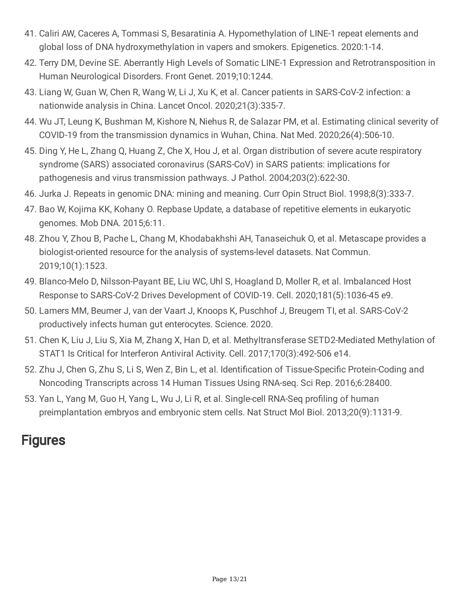- 41. Caliri AW, Caceres A, Tommasi S, Besaratinia A. Hypomethylation of LINE-1 repeat elements and global loss of DNA hydroxymethylation in vapers and smokers. Epigenetics. 2020:1-14.
- 42. Terry DM, Devine SE. Aberrantly High Levels of Somatic LINE-1 Expression and Retrotransposition in Human Neurological Disorders. Front Genet. 2019;10:1244.
- 43. Liang W, Guan W, Chen R, Wang W, Li J, Xu K, et al. Cancer patients in SARS-CoV-2 infection: a nationwide analysis in China. Lancet Oncol. 2020;21(3):335-7.
- 44. Wu JT, Leung K, Bushman M, Kishore N, Niehus R, de Salazar PM, et al. Estimating clinical severity of COVID-19 from the transmission dynamics in Wuhan, China. Nat Med. 2020;26(4):506-10.
- 45. Ding Y, He L, Zhang Q, Huang Z, Che X, Hou J, et al. Organ distribution of severe acute respiratory syndrome (SARS) associated coronavirus (SARS-CoV) in SARS patients: implications for pathogenesis and virus transmission pathways. J Pathol. 2004;203(2):622-30.
- 46. Jurka J. Repeats in genomic DNA: mining and meaning. Curr Opin Struct Biol. 1998;8(3):333-7.
- 47. Bao W, Kojima KK, Kohany O. Repbase Update, a database of repetitive elements in eukaryotic genomes. Mob DNA. 2015;6:11.
- 48. Zhou Y, Zhou B, Pache L, Chang M, Khodabakhshi AH, Tanaseichuk O, et al. Metascape provides a biologist-oriented resource for the analysis of systems-level datasets. Nat Commun. 2019;10(1):1523.
- 49. Blanco-Melo D, Nilsson-Payant BE, Liu WC, Uhl S, Hoagland D, Moller R, et al. Imbalanced Host Response to SARS-CoV-2 Drives Development of COVID-19. Cell. 2020;181(5):1036-45 e9.
- 50. Lamers MM, Beumer J, van der Vaart J, Knoops K, Puschhof J, Breugem TI, et al. SARS-CoV-2 productively infects human gut enterocytes. Science. 2020.
- 51. Chen K, Liu J, Liu S, Xia M, Zhang X, Han D, et al. Methyltransferase SETD2-Mediated Methylation of STAT1 Is Critical for Interferon Antiviral Activity. Cell. 2017;170(3):492-506 e14.
- 52. Zhu J, Chen G, Zhu S, Li S, Wen Z, Bin L, et al. Identification of Tissue-Specific Protein-Coding and Noncoding Transcripts across 14 Human Tissues Using RNA-seq. Sci Rep. 2016;6:28400.
- 53. Yan L, Yang M, Guo H, Yang L, Wu J, Li R, et al. Single-cell RNA-Seq profiling of human preimplantation embryos and embryonic stem cells. Nat Struct Mol Biol. 2013;20(9):1131-9.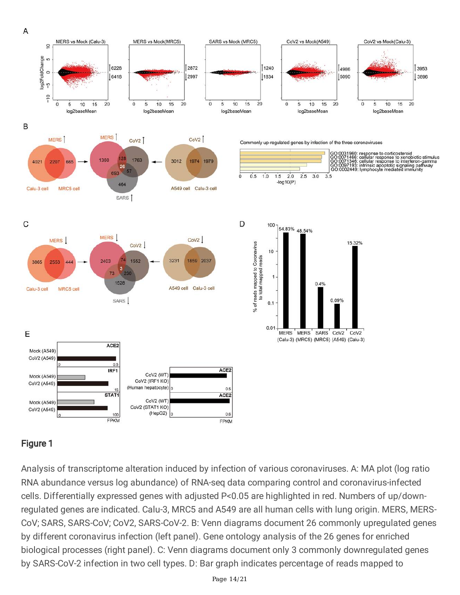

Analysis of transcriptome alteration induced by infection of various coronaviruses. A: MA plot (log ratio RNA abundance versus log abundance) of RNA-seq data comparing control and coronavirus-infected cells. Differentially expressed genes with adjusted P<0.05 are highlighted in red. Numbers of up/downregulated genes are indicated. Calu-3, MRC5 and A549 are all human cells with lung origin. MERS, MERS-CoV; SARS, SARS-CoV; CoV2, SARS-CoV-2. B: Venn diagrams document 26 commonly upregulated genes by different coronavirus infection (left panel). Gene ontology analysis of the 26 genes for enriched biological processes (right panel). C: Venn diagrams document only 3 commonly downregulated genes by SARS-CoV-2 infection in two cell types. D: Bar graph indicates percentage of reads mapped to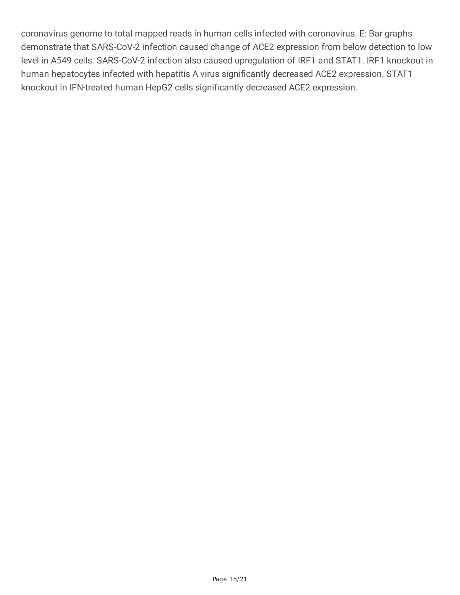coronavirus genome to total mapped reads in human cells infected with coronavirus. E: Bar graphs demonstrate that SARS-CoV-2 infection caused change of ACE2 expression from below detection to low level in A549 cells. SARS-CoV-2 infection also caused upregulation of IRF1 and STAT1. IRF1 knockout in human hepatocytes infected with hepatitis A virus significantly decreased ACE2 expression. STAT1 knockout in IFN-treated human HepG2 cells significantly decreased ACE2 expression.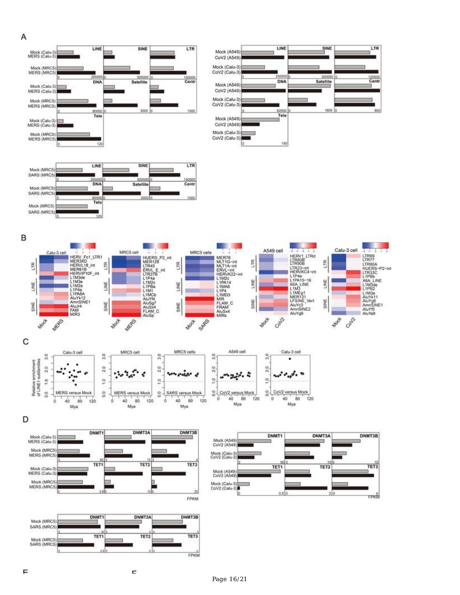









D

E







c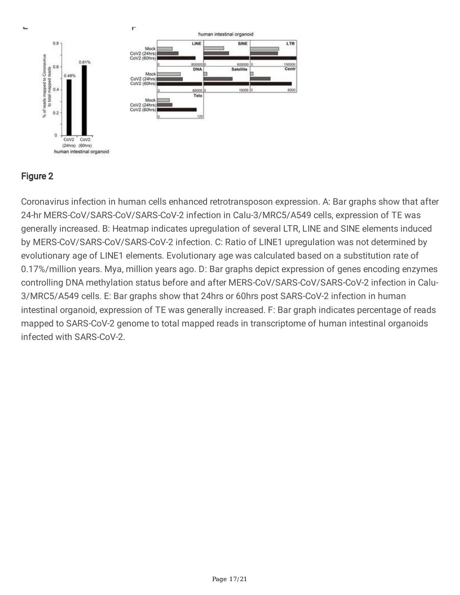

Coronavirus infection in human cells enhanced retrotransposon expression. A: Bar graphs show that after 24-hr MERS-CoV/SARS-CoV/SARS-CoV-2 infection in Calu-3/MRC5/A549 cells, expression of TE was generally increased. B: Heatmap indicates upregulation of several LTR, LINE and SINE elements induced by MERS-CoV/SARS-CoV/SARS-CoV-2 infection. C: Ratio of LINE1 upregulation was not determined by evolutionary age of LINE1 elements. Evolutionary age was calculated based on a substitution rate of 0.17%/million years. Mya, million years ago. D: Bar graphs depict expression of genes encoding enzymes controlling DNA methylation status before and after MERS-CoV/SARS-CoV/SARS-CoV-2 infection in Calu-3/MRC5/A549 cells. E: Bar graphs show that 24hrs or 60hrs post SARS-CoV-2 infection in human intestinal organoid, expression of TE was generally increased. F: Bar graph indicates percentage of reads mapped to SARS-CoV-2 genome to total mapped reads in transcriptome of human intestinal organoids infected with SARS-CoV-2.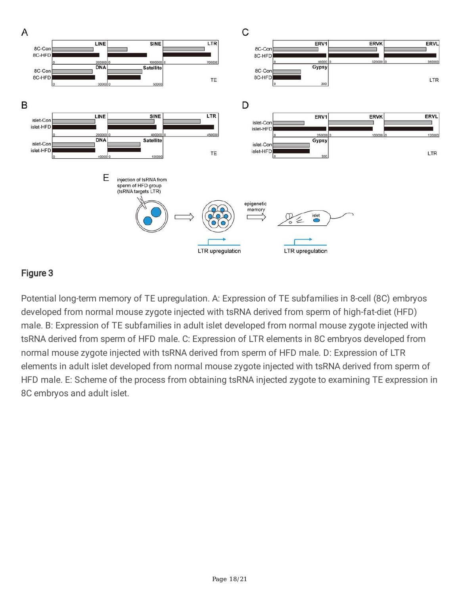

Potential long-term memory of TE upregulation. A: Expression of TE subfamilies in 8-cell (8C) embryos developed from normal mouse zygote injected with tsRNA derived from sperm of high-fat-diet (HFD) male. B: Expression of TE subfamilies in adult islet developed from normal mouse zygote injected with tsRNA derived from sperm of HFD male. C: Expression of LTR elements in 8C embryos developed from normal mouse zygote injected with tsRNA derived from sperm of HFD male. D: Expression of LTR elements in adult islet developed from normal mouse zygote injected with tsRNA derived from sperm of HFD male. E: Scheme of the process from obtaining tsRNA injected zygote to examining TE expression in 8C embryos and adult islet.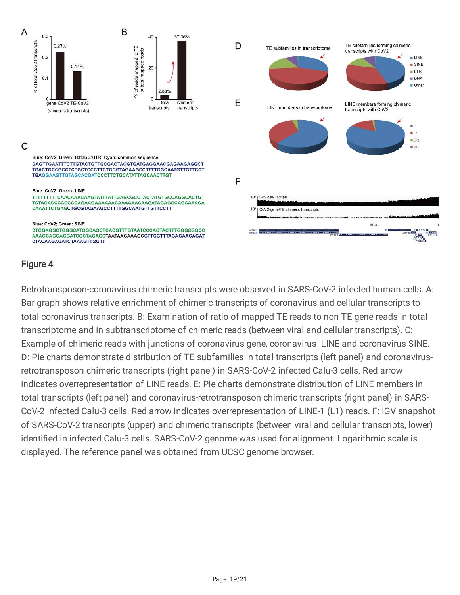

Retrotransposon-coronavirus chimeric transcripts were observed in SARS-CoV-2 infected human cells. A: Bar graph shows relative enrichment of chimeric transcripts of coronavirus and cellular transcripts to total coronavirus transcripts. B: Examination of ratio of mapped TE reads to non-TE gene reads in total transcriptome and in subtranscriptome of chimeric reads (between viral and cellular transcripts). C: Example of chimeric reads with junctions of coronavirus-gene, coronavirus -LINE and coronavirus-SINE. D: Pie charts demonstrate distribution of TE subfamilies in total transcripts (left panel) and coronavirusretrotransposon chimeric transcripts (right panel) in SARS-CoV-2 infected Calu-3 cells. Red arrow indicates overrepresentation of LINE reads. E: Pie charts demonstrate distribution of LINE members in total transcripts (left panel) and coronavirus-retrotransposon chimeric transcripts (right panel) in SARS-CoV-2 infected Calu-3 cells. Red arrow indicates overrepresentation of LINE-1 (L1) reads. F: IGV snapshot of SARS-CoV-2 transcripts (upper) and chimeric transcripts (between viral and cellular transcripts, lower) identified in infected Calu-3 cells. SARS-CoV-2 genome was used for alignment. Logarithmic scale is displayed. The reference panel was obtained from UCSC genome browser.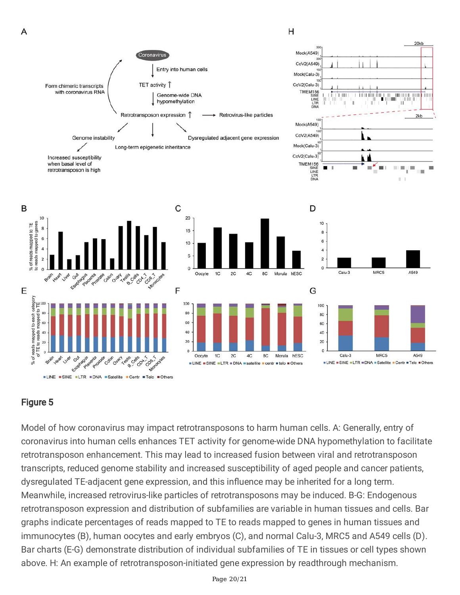#### H



#### Figure 5

Model of how coronavirus may impact retrotransposons to harm human cells. A: Generally, entry of coronavirus into human cells enhances TET activity for genome-wide DNA hypomethylation to facilitate retrotransposon enhancement. This may lead to increased fusion between viral and retrotransposon transcripts, reduced genome stability and increased susceptibility of aged people and cancer patients, dysregulated TE-adjacent gene expression, and this influence may be inherited for a long term. Meanwhile, increased retrovirus-like particles of retrotransposons may be induced. B-G: Endogenous retrotransposon expression and distribution of subfamilies are variable in human tissues and cells. Bar graphs indicate percentages of reads mapped to TE to reads mapped to genes in human tissues and immunocytes (B), human oocytes and early embryos (C), and normal Calu-3, MRC5 and A549 cells (D). Bar charts (E-G) demonstrate distribution of individual subfamilies of TE in tissues or cell types shown above. H: An example of retrotransposon-initiated gene expression by readthrough mechanism.